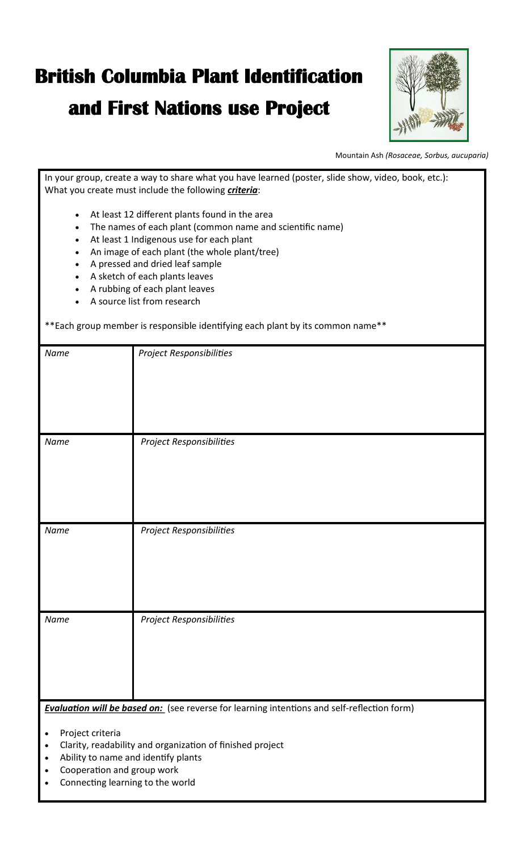## **British Columbia Plant Identification**

## **and First Nations use Project**



Mountain Ash *([Rosaceae,](https://en.wikipedia.org/wiki/Rosaceae) Sorbus, aucuparia)*

In your group, create a way to share what you have learned (poster, slide show, video, book, etc.): What you create must include the following *criteria*:

- At least 12 diferent plants found in the area
- The names of each plant (common name and scientific name)
- At least 1 Indigenous use for each plant
- An image of each plant (the whole plant/tree)
- A pressed and dried leaf sample
- A sketch of each plants leaves
- A rubbing of each plant leaves
- A source list from research

\*Each group member is responsible identifying each plant by its common name\*\*

| Name                                                                                               | Project Responsibilities |  |  |
|----------------------------------------------------------------------------------------------------|--------------------------|--|--|
| Name                                                                                               | Project Responsibilities |  |  |
| Name                                                                                               | Project Responsibilities |  |  |
| Name                                                                                               | Project Responsibilities |  |  |
| <b>Evaluation will be based on:</b> (see reverse for learning intentions and self-reflection form) |                          |  |  |

- Project criteria
- Clarity, readability and organization of finished project
- Ability to name and identify plants
- Cooperation and group work
- Connecting learning to the world